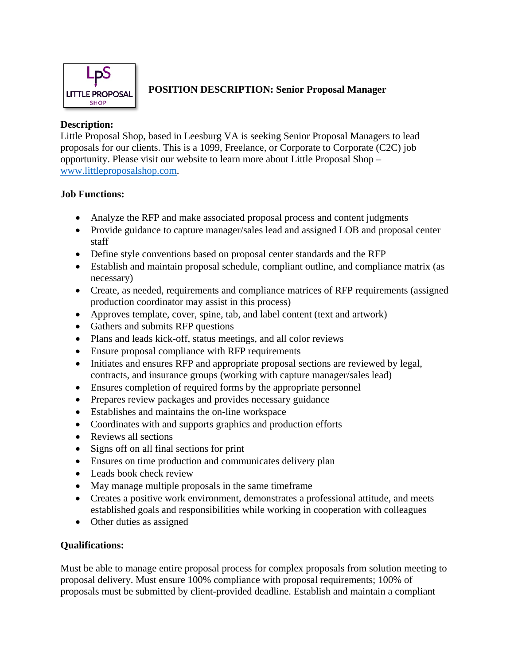

## **POSITION DESCRIPTION: Senior Proposal Manager**

## **Description:**

Little Proposal Shop, based in Leesburg VA is seeking Senior Proposal Managers to lead proposals for our clients. This is a 1099, Freelance, or Corporate to Corporate (C2C) job opportunity. Please visit our website to learn more about Little Proposal Shop – [www.littleproposalshop.com.](http://www.littleproposalshop.com/)

# **Job Functions:**

- Analyze the RFP and make associated proposal process and content judgments
- Provide guidance to capture manager/sales lead and assigned LOB and proposal center staff
- Define style conventions based on proposal center standards and the RFP
- Establish and maintain proposal schedule, compliant outline, and compliance matrix (as necessary)
- Create, as needed, requirements and compliance matrices of RFP requirements (assigned production coordinator may assist in this process)
- Approves template, cover, spine, tab, and label content (text and artwork)
- Gathers and submits RFP questions
- Plans and leads kick-off, status meetings, and all color reviews
- Ensure proposal compliance with RFP requirements
- Initiates and ensures RFP and appropriate proposal sections are reviewed by legal, contracts, and insurance groups (working with capture manager/sales lead)
- Ensures completion of required forms by the appropriate personnel
- Prepares review packages and provides necessary guidance
- Establishes and maintains the on-line workspace
- Coordinates with and supports graphics and production efforts
- Reviews all sections
- Signs off on all final sections for print
- Ensures on time production and communicates delivery plan
- Leads book check review
- May manage multiple proposals in the same timeframe
- Creates a positive work environment, demonstrates a professional attitude, and meets established goals and responsibilities while working in cooperation with colleagues
- Other duties as assigned

# **Qualifications:**

Must be able to manage entire proposal process for complex proposals from solution meeting to proposal delivery. Must ensure 100% compliance with proposal requirements; 100% of proposals must be submitted by client-provided deadline. Establish and maintain a compliant